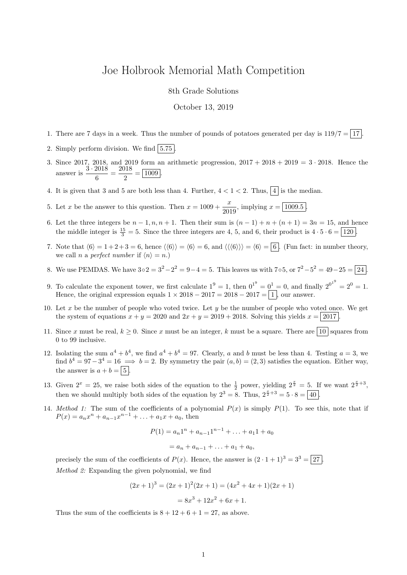## Joe Holbrook Memorial Math Competition

8th Grade Solutions

October 13, 2019

- 1. There are 7 days in a week. Thus the number of pounds of potatoes generated per day is  $119/7 = 17$ .
- 2. Simply perform division. We find  $|5.75|$ .
- 3. Since 2017, 2018, and 2019 form an arithmetic progression,  $2017 + 2018 + 2019 = 3 \cdot 2018$ . Hence the answer is  $\frac{3 \cdot 2018}{c}$  $\frac{2018}{6} = \frac{2018}{2}$  $\frac{2}{2} = \boxed{1009}.$
- 4. It is given that 3 and 5 are both less than 4. Further,  $4 < 1 < 2$ . Thus,  $\boxed{4}$  is the median.
- 5. Let x be the answer to this question. Then  $x = 1009 + \frac{x}{200}$  $\frac{x}{2019}$ , implying  $x = \boxed{1009.5}$ .
- 6. Let the three integers be  $n-1, n, n+1$ . Then their sum is  $(n-1)+n+(n+1)=3n=15$ , and hence the middle integer is  $\frac{15}{3} = 5$ . Since the three integers are 4, 5, and 6, their product is  $4 \cdot 5 \cdot 6 = 120$ .
- 7. Note that  $\langle 6 \rangle = 1 + 2 + 3 = 6$ , hence  $\langle 6 \rangle = \langle 6 \rangle = 6$ , and  $\langle 6 \rangle = 6 = 6$ . (Fun fact: in number theory, we call n a perfect number if  $\langle n \rangle = n$ .)
- 8. We use PEMDAS. We have  $3 \circ 2 = 3^2 2^2 = 9 4 = 5$ . This leaves us with  $7 \circ 5$ , or  $7^2 5^2 = 49 25 = 24$ .
- 9. To calculate the exponent tower, we first calculate  $1^9 = 1$ , then  $0^{1^9} = 0^1 = 0$ , and finally  $2^{0^{1^9}} = 2^0 = 1$ . Hence, the original expression equals  $1 \times 2018 - 2017 = 2018 - 2017 = 1$ , our answer.
- 10. Let x be the number of people who voted twice. Let  $y$  be the number of people who voted once. We get the system of equations  $x + y = 2020$  and  $2x + y = 2019 + 2018$ . Solving this yields  $x = |2017|$ .
- 11. Since x must be real,  $k \geq 0$ . Since x must be an integer, k must be a square. There are  $\boxed{10}$  squares from 0 to 99 inclusive.
- 12. Isolating the sum  $a^4 + b^4$ , we find  $a^4 + b^4 = 97$ . Clearly, a and b must be less than 4. Testing  $a = 3$ , we find  $b^4 = 97-3^4 = 16 \implies b = 2$ . By symmetry the pair  $(a, b) = (2, 3)$  satisfies the equation. Either way, the answer is  $a + b = \boxed{5}$ .
- 13. Given  $2^x = 25$ , we raise both sides of the equation to the  $\frac{1}{2}$  power, yielding  $2^{\frac{x}{2}} = 5$ . If we want  $2^{\frac{x}{2}+3}$ , then we should multiply both sides of the equation by  $2^3 = 8$ . Thus,  $2^{\frac{x}{2}+3} = 5 \cdot 8 = \boxed{40}$ .
- 14. Method 1: The sum of the coefficients of a polynomial  $P(x)$  is simply  $P(1)$ . To see this, note that if  $P(x) = a_n x^n + a_{n-1} x^{n-1} + \ldots + a_1 x + a_0$ , then

$$
P(1) = a_n 1^n + a_{n-1} 1^{n-1} + \dots + a_1 1 + a_0
$$
  
=  $a_n + a_{n-1} + \dots + a_1 + a_0$ ,

precisely the sum of the coefficients of  $P(x)$ . Hence, the answer is  $(2 \cdot 1 + 1)^3 = 3^3 = 27$ . Method 2: Expanding the given polynomial, we find

$$
(2x+1)3 = (2x+1)2(2x+1) = (4x2 + 4x + 1)(2x + 1)
$$

$$
= 8x3 + 12x2 + 6x + 1.
$$

Thus the sum of the coefficients is  $8 + 12 + 6 + 1 = 27$ , as above.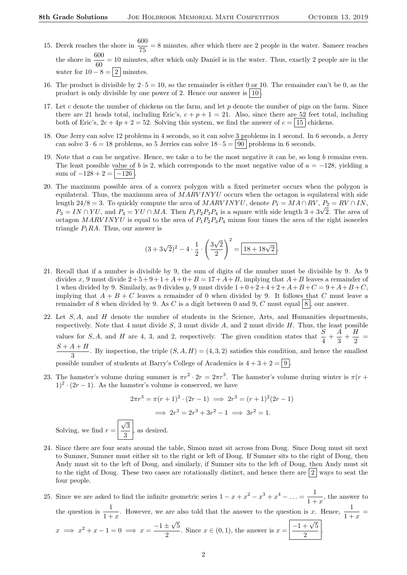Solving, we find

- 15. Derek reaches the shore in  $\frac{600}{75} = 8$  minutes, after which there are 2 people in the water. Sameer reaches the shore in  $\frac{600}{60} = 10$  minutes, after which only Daniel is in the water. Thus, exactly 2 people are in the water for  $10 - 8 = |2|$  minutes.
- 16. The product is divisible by  $2 \cdot 5 = 10$ , so the remainder is either 0 or 10. The remainder can't be 0, as the product is only divisible by one power of 2. Hence our answer is  $|10|$ .
- 17. Let c denote the number of chickens on the farm, and let  $p$  denote the number of pigs on the farm. Since there are 21 heads total, including Eric's,  $c + p + 1 = 21$ . Also, since there are 52 feet total, including both of Eric's,  $2c + 4p + 2 = 52$ . Solving this system, we find the answer of  $c = |15|$  chickens.
- 18. One Jerry can solve 12 problems in 4 seconds, so it can solve 3 problems in 1 second. In 6 seconds, a Jerry can solve  $3 \cdot 6 = 18$  problems, so 5 Jerries can solve  $18 \cdot 5 = |90|$  problems in 6 seconds.
- 19. Note that a can be negative. Hence, we take a to be the most negative it can be, so long b remains even. The least possible value of b is 2, which corresponds to the most negative value of  $a = -128$ , yielding a sum of  $-128 + 2 = |-126$
- 20. The maximum possible area of a convex polygon with a fixed perimeter occurs when the polygon is equilateral. Thus, the maximum area of  $MARVINYU$  occurs when the octagon is equilateral with side length 24/8 = 3. To quickly compute the area of  $MARVINVU$ , denote  $P_1 = MA \cap RV$ ,  $P_2 = RV \cap IN$ , ength  $24/8 = 3$ . To quickly compute the area of *MARV INTU*, denote  $P_1 = M A + RV$ ,  $P_2 = RV + IIN$ ,  $P_3 = IN \cap YU$ , and  $P_4 = YU \cap MA$ . Then  $P_1P_2P_3P_4$  is a square with side length  $3 + 3\sqrt{2}$ . The area of octagon MARVINYU is equal to the area of  $P_1P_2P_3P_4$  minus four times the area of the right isosceles triangle  $P_1RA$ . Thus, our answer is

$$
(3+3\sqrt{2})^2 - 4 \cdot \frac{1}{2} \cdot \left(\frac{3\sqrt{2}}{2}\right)^2 = \boxed{18+18\sqrt{2}}.
$$

- 21. Recall that if a number is divisible by 9, the sum of digits of the number must be divisible by 9. As 9 divides x, 9 must divide  $2+5+9+1+A+0+B=17+A+B$ , implying that  $A+B$  leaves a remainder of 1 when divided by 9. Similarly, as 9 divides y, 9 must divide  $1+0+2+4+2+A+B+C = 9+A+B+C$ , implying that  $A + B + C$  leaves a remainder of 0 when divided by 9. It follows that C must leave a remainder of 8 when divided by 9. As C is a digit between 0 and 9, C must equal  $|8|$ , our answer.
- 22. Let  $S, A$ , and  $H$  denote the number of students in the Science, Arts, and Humanities departments, respectively. Note that 4 must divide  $S$ , 3 must divide  $A$ , and 2 must divide  $H$ . Thus, the least possible values for S, A, and H are 4, 3, and 2, respectively. The given condition states that  $\frac{S}{4} + \frac{A}{3}$  $\frac{A}{3}+\frac{H}{2}$  $\frac{1}{2}$  =  $S + A + H$  $\frac{1+1}{3}$ . By inspection, the triple  $(S, A, H) = (4, 3, 2)$  satisfies this condition, and hence the smallest possible number of students at Barry's College of Academics is  $4 + 3 + 2 = |9|$
- 23. The hamster's volume during summer is  $\pi r^2 \cdot 2r = 2\pi r^3$ . The hamster's volume during winter is  $\pi(r +$  $1)^2 \cdot (2r - 1)$ . As the hamster's volume is conserved, we have

$$
2\pi r^3 = \pi (r+1)^2 \cdot (2r-1) \implies 2r^3 = (r+1)^2 (2r-1)
$$

$$
\implies 2r^3 = 2r^3 + 3r^2 - 1 \implies 3r^2 = 1.
$$
  
and  $r = \frac{\sqrt{3}}{3}$ , as desired.

- 24. Since there are four seats around the table, Simon must sit across from Doug. Since Doug must sit next to Sumner, Sumner must either sit to the right or left of Doug. If Sumner sits to the right of Doug, then Andy must sit to the left of Doug, and similarly, if Sumner sits to the left of Doug, then Andy must sit to the right of Doug. These two cases are rotationally distinct, and hence there are  $2 \mid$  ways to seat the four people.
- 25. Since we are asked to find the infinite geometric series  $1 x + x^2 x^3 + x^4 \ldots = \frac{1}{1+x}$  $\frac{1}{1+x}$ , the answer to the question is  $\frac{1}{1+x}$ . However, we are also told that the answer to the question is x. Hence,  $\frac{1}{1+x}$  $x \implies x^2 + x - 1 = 0 \implies x = \frac{-1 \pm \sqrt{3}}{2}$ √ 5  $\frac{\pm\sqrt{5}}{2}$ . Since  $x \in (0,1)$ , the answer is  $x = \boxed{\frac{-1+\sqrt{5}}{2}}$ 2 .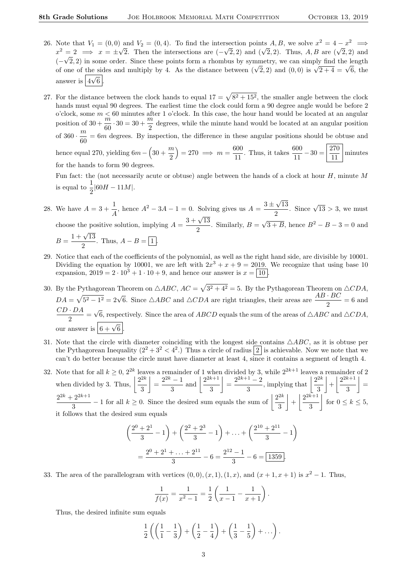- 26. Note that  $V_1 = (0,0)$  and  $V_2 = (0,4)$ . To find the intersection points  $A, B$ , we solve  $x^2 = 4 x^2 \implies$ Note that  $v_1 = (0,0)$  and  $v_2 = (0,4)$ . To find the intersection points A, B, we solve  $x = 4 - x \implies x^2 = 2 \implies x = \pm \sqrt{2}$ . Then the intersections are  $(-\sqrt{2}, 2)$  and  $(\sqrt{2}, 2)$ . Thus, A, B are  $(\sqrt{2}, 2)$  and  $(-\sqrt{2}, 2)$  in some order. Since these points form a rhombus by symmetry, we can simply find the length  $(-\sqrt{2}, 2)$  in some order. Since these points form a rhomous by symmetry, we can simply find the length of one of the sides and multiply by 4. As the distance between  $(\sqrt{2}, 2)$  and  $(0, 0)$  is  $\sqrt{2+4} = \sqrt{6}$ , the answer is  $\boxed{4\sqrt{6}}$ .
- 27. For the distance between the clock hands to equal  $17 = \sqrt{8^2 + 15^2}$ , the smaller angle between the clock hands must equal 90 degrees. The earliest time the clock could form a 90 degree angle would be before 2 o'clock, some  $m < 60$  minutes after 1 o'clock. In this case, the hour hand would be located at an angular position of  $30 + \frac{m}{60} \cdot 30 = 30 + \frac{m}{2}$  $\frac{\pi}{2}$  degrees, while the minute hand would be located at an angular position of  $360 \cdot \frac{m}{\sqrt{m}}$  $\frac{m}{60}$  = 6m degrees. By inspection, the difference in these angular positions should be obtuse and hence equal 270, yielding  $6m - \left(30 + \frac{m}{2}\right)$ 2  $= 270 \implies m = \frac{600}{11}$  $\frac{600}{11}$ . Thus, it takes  $\frac{600}{11} - 30 = \frac{270}{11}$ 11 minutes for the hands to form 90 degrees. Fun fact: the (not necessarily acute or obtuse) angle between the hands of a clock at hour H, minute M

is equal to  $\frac{1}{2} |60H - 11M|$ .

- 28. We have  $A = 3 + \frac{1}{4}$  $\frac{1}{A}$ , hence  $A^2 - 3A - 1 = 0$ . Solving gives us  $A = \frac{3 \pm \sqrt{3}}{2}$ √ 13  $\frac{\sqrt{13}}{2}$ . Since  $\sqrt{13} > 3$ , we must choose the positive solution, implying  $A = \frac{3 + \sqrt{13}}{2}$  $\frac{1}{2}$ . Similarly,  $B =$ √  $\overline{3+B}$ , hence  $B^2 - B - 3 = 0$  and  $B = \frac{1 + \sqrt{13}}{2}$  $\frac{1}{2}$ . Thus,  $A - B = \boxed{1}$ .
- 29. Notice that each of the coefficients of the polynomial, as well as the right hand side, are divisible by 10001. Dividing the equation by 10001, we are left with  $2x^3 + x + 9 = 2019$ . We recognize that using base 10 expansion,  $2019 = 2 \cdot 10^3 + 1 \cdot 10 + 9$ , and hence our answer is  $x = \boxed{10}$
- 30. By the Pythagorean Theorem on  $\triangle ABC$ ,  $AC = \sqrt{3^2 + 4^2} = 5$ . By the Pythagorean Theorem on  $\triangle CDA$ ,  $DA = \sqrt{5^2 - 1^2} = 2\sqrt{6}$ . Since  $\triangle ABC$  and  $\triangle CDA$  are right triangles, their areas are  $\frac{AB \cdot BC}{2} = 6$  and  $CD \cdot DA$  $\frac{2\pi}{2}$ √ 6, respectively. Since the area of ABCD equals the sum of the areas of  $\triangle ABC$  and  $\triangle CDA$ , our answer is  $\boxed{6 + \sqrt{6}}$ .
- 31. Note that the circle with diameter coinciding with the longest side contains  $\triangle ABC$ , as it is obtuse per the Pythagorean Inequality  $(2^2+3^2< 4^2)$  Thus a circle of radius  $\boxed{2}$  is achievable. Now we note that we can't do better because the circle must have diameter at least 4, since it contains a segment of length 4.
- 32. Note that for all  $k \geq 0$ ,  $2^{2k}$  leaves a remainder of 1 when divided by 3, while  $2^{2k+1}$  leaves a remainder of 2 when divided by 3. Thus,  $\left| \frac{2^{2k}}{2} \right|$ 3  $=\frac{2^{2k}-1}{2}$  $\frac{(-1)}{3}$  and  $\frac{2^{2k+1}}{3}$ 3  $=\frac{2^{2k+1}-2}{2}$  $\frac{1-2}{3}$ , implying that  $\left|\frac{2^{2k}}{3}\right|$ 3  $\left|+\right| \frac{2^{2k+1}}{2}$ 3  $\vert$  =  $2^{2k}+2^{2k+1}$  $\frac{2^{2k+1}}{3} - 1$  for all  $k \ge 0$ . Since the desired sum equals the sum of  $\frac{2^{2k}}{3}$ 3  $\left|+\right| \frac{2^{2k+1}}{2}$ 3  $\left| \begin{array}{c} \text{for } 0 \leq k \leq 5, \end{array} \right|$ it follows that the desired sum equals

$$
\left(\frac{2^0+2^1}{3}-1\right)+\left(\frac{2^2+2^3}{3}-1\right)+\ldots+\left(\frac{2^{10}+2^{11}}{3}-1\right)
$$

$$
=\frac{2^0+2^1+\ldots+2^{11}}{3}-6=\frac{2^{12}-1}{3}-6=\boxed{1359}.
$$

33. The area of the parallelogram with vertices  $(0,0), (x,1), (1,x),$  and  $(x+1,x+1)$  is  $x^2-1$ . Thus,

$$
\frac{1}{f(x)} = \frac{1}{x^2 - 1} = \frac{1}{2} \left( \frac{1}{x - 1} - \frac{1}{x + 1} \right).
$$

Thus, the desired infinite sum equals

$$
\frac{1}{2}\left(\left(\frac{1}{1}-\frac{1}{3}\right)+\left(\frac{1}{2}-\frac{1}{4}\right)+\left(\frac{1}{3}-\frac{1}{5}\right)+\ldots\right).
$$